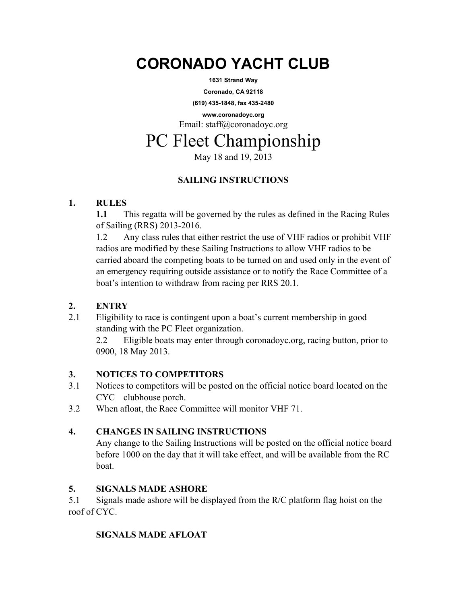# **CORONADO YACHT CLUB**

**1631 Strand Way** 

**Coronado, CA 92118** 

**(619) 435-1848, fax 435-2480** 

**www.coronadoyc.org**  Email: staff@coronadoyc.org

# PC Fleet Championship

May 18 and 19, 2013

# **SAILING INSTRUCTIONS**

# **1. RULES**

**1.1** This regatta will be governed by the rules as defined in the Racing Rules of Sailing (RRS) 2013-2016.

1.2 Any class rules that either restrict the use of VHF radios or prohibit VHF radios are modified by these Sailing Instructions to allow VHF radios to be carried aboard the competing boats to be turned on and used only in the event of an emergency requiring outside assistance or to notify the Race Committee of a boat's intention to withdraw from racing per RRS 20.1.

# **2. ENTRY**

2.1 Eligibility to race is contingent upon a boat's current membership in good standing with the PC Fleet organization.

2.2 Eligible boats may enter through coronadoyc.org, racing button, prior to 0900, 18 May 2013.

# **3. NOTICES TO COMPETITORS**

- 3.1 Notices to competitors will be posted on the official notice board located on the CYC clubhouse porch.
- 3.2 When afloat, the Race Committee will monitor VHF 71.

# **4. CHANGES IN SAILING INSTRUCTIONS**

Any change to the Sailing Instructions will be posted on the official notice board before 1000 on the day that it will take effect, and will be available from the RC boat.

# **5. SIGNALS MADE ASHORE**

5.1 Signals made ashore will be displayed from the R/C platform flag hoist on the roof of CYC.

# **SIGNALS MADE AFLOAT**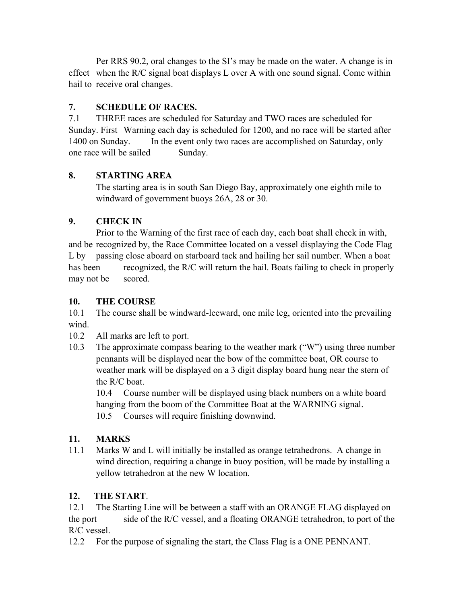Per RRS 90.2, oral changes to the SI's may be made on the water. A change is in effect when the R/C signal boat displays L over A with one sound signal. Come within hail to receive oral changes.

#### **7. SCHEDULE OF RACES.**

7.1 THREE races are scheduled for Saturday and TWO races are scheduled for Sunday. First Warning each day is scheduled for 1200, and no race will be started after 1400 on Sunday. In the event only two races are accomplished on Saturday, only one race will be sailed Sunday.

#### **8. STARTING AREA**

The starting area is in south San Diego Bay, approximately one eighth mile to windward of government buoys 26A, 28 or 30.

#### **9. CHECK IN**

 Prior to the Warning of the first race of each day, each boat shall check in with, and be recognized by, the Race Committee located on a vessel displaying the Code Flag L by passing close aboard on starboard tack and hailing her sail number. When a boat has been recognized, the R/C will return the hail. Boats failing to check in properly may not be scored.

#### **10. THE COURSE**

10.1 The course shall be windward-leeward, one mile leg, oriented into the prevailing wind.

10.2 All marks are left to port.

10.3 The approximate compass bearing to the weather mark ("W") using three number pennants will be displayed near the bow of the committee boat, OR course to weather mark will be displayed on a 3 digit display board hung near the stern of the R/C boat.

10.4 Course number will be displayed using black numbers on a white board hanging from the boom of the Committee Boat at the WARNING signal. 10.5 Courses will require finishing downwind.

#### **11. MARKS**

11.1 Marks W and L will initially be installed as orange tetrahedrons. A change in wind direction, requiring a change in buoy position, will be made by installing a yellow tetrahedron at the new W location.

#### **12. THE START**.

12.1 The Starting Line will be between a staff with an ORANGE FLAG displayed on the port side of the R/C vessel, and a floating ORANGE tetrahedron, to port of the R/C vessel.

12.2 For the purpose of signaling the start, the Class Flag is a ONE PENNANT.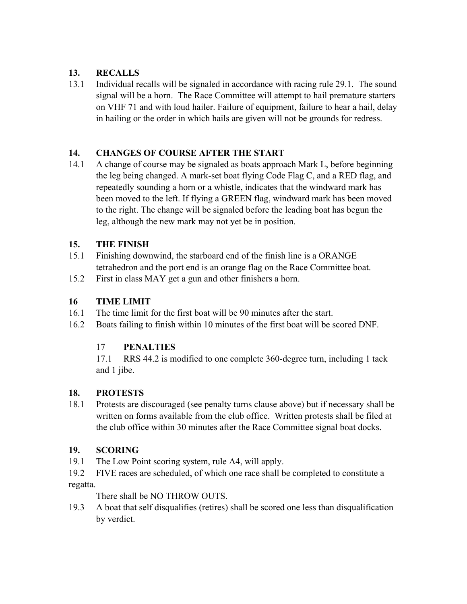# **13. RECALLS**

13.1 Individual recalls will be signaled in accordance with racing rule 29.1. The sound signal will be a horn. The Race Committee will attempt to hail premature starters on VHF 71 and with loud hailer. Failure of equipment, failure to hear a hail, delay in hailing or the order in which hails are given will not be grounds for redress.

### **14. CHANGES OF COURSE AFTER THE START**

14.1 A change of course may be signaled as boats approach Mark L, before beginning the leg being changed. A mark-set boat flying Code Flag C, and a RED flag, and repeatedly sounding a horn or a whistle, indicates that the windward mark has been moved to the left. If flying a GREEN flag, windward mark has been moved to the right. The change will be signaled before the leading boat has begun the leg, although the new mark may not yet be in position.

#### **15. THE FINISH**

- 15.1 Finishing downwind, the starboard end of the finish line is a ORANGE tetrahedron and the port end is an orange flag on the Race Committee boat.
- 15.2 First in class MAY get a gun and other finishers a horn.

## **16 TIME LIMIT**

- 16.1 The time limit for the first boat will be 90 minutes after the start.
- 16.2 Boats failing to finish within 10 minutes of the first boat will be scored DNF.

# 17 **PENALTIES**

17.1 RRS 44.2 is modified to one complete 360-degree turn, including 1 tack and 1 jibe.

#### **18. PROTESTS**

18.1 Protests are discouraged (see penalty turns clause above) but if necessary shall be written on forms available from the club office. Written protests shall be filed at the club office within 30 minutes after the Race Committee signal boat docks.

# **19. SCORING**

- 19.1 The Low Point scoring system, rule A4, will apply.
- 19.2 FIVE races are scheduled, of which one race shall be completed to constitute a regatta.

There shall be NO THROW OUTS.

19.3 A boat that self disqualifies (retires) shall be scored one less than disqualification by verdict.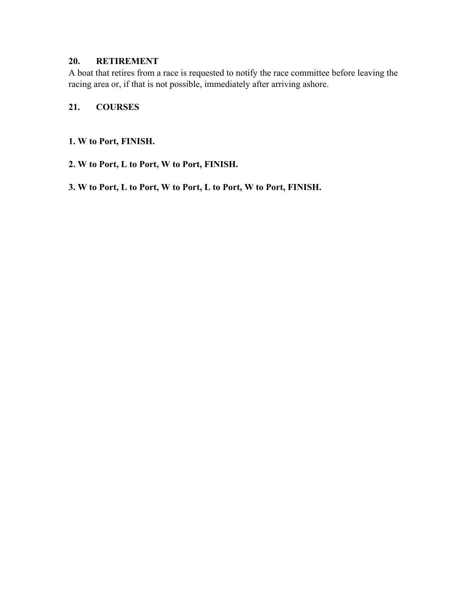#### **20. RETIREMENT**

A boat that retires from a race is requested to notify the race committee before leaving the racing area or, if that is not possible, immediately after arriving ashore.

#### **21. COURSES**

#### **1. W to Port, FINISH.**

- **2. W to Port, L to Port, W to Port, FINISH.**
- **3. W to Port, L to Port, W to Port, L to Port, W to Port, FINISH.**